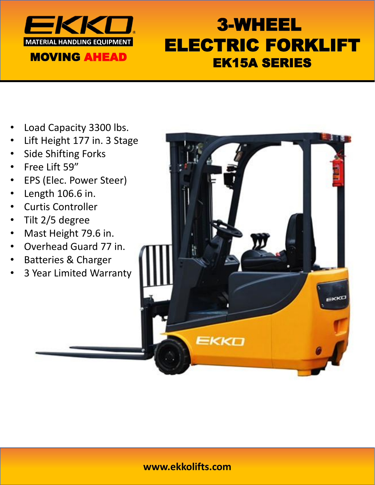

# 3-WHEEL ELECTRIC FORKLIFT EK15A SERIES

- Load Capacity 3300 lbs.
- Lift Height 177 in. 3 Stage
- Side Shifting Forks
- Free Lift 59"
- EPS (Elec. Power Steer)
- Length 106.6 in.
- Curtis Controller
- Tilt 2/5 degree
- Mast Height 79.6 in.
- Overhead Guard 77 in.
- Batteries & Charger
- 3 Year Limited Warranty



### **www.ekkolifts.com**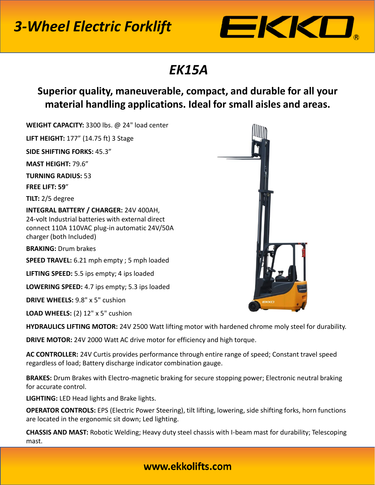# *3-Wheel Electric Forklift*



### *EK15A*

### **Superior quality, maneuverable, compact, and durable for all your material handling applications. Ideal for small aisles and areas.**

**WEIGHT CAPACITY:** 3300 lbs. @ 24" load center **LIFT HEIGHT:** 177" (14.75 ft) 3 Stage **SIDE SHIFTING FORKS:** 45.3" **MAST HEIGHT:** 79.6" **TURNING RADIUS:** 53 **FREE LIFT: 59**" **TILT:** 2/5 degree **INTEGRAL BATTERY / CHARGER:** 24V 400AH, 24-volt Industrial batteries with external direct connect 110A 110VAC plug-in automatic 24V/50A charger (both Included) **BRAKING:** Drum brakes **SPEED TRAVEL:** 6.21 mph empty ; 5 mph loaded **LIFTING SPEED:** 5.5 ips empty; 4 ips loaded **LOWERING SPEED:** 4.7 ips empty; 5.3 ips loaded **DRIVE WHEELS:** 9.8" x 5" cushion **LOAD WHEELS:** (2) 12" x 5" cushion

**HYDRAULICS LIFTING MOTOR:** 24V 2500 Watt lifting motor with hardened chrome moly steel for durability.

**DRIVE MOTOR:** 24V 2000 Watt AC drive motor for efficiency and high torque.

**AC CONTROLLER:** 24V Curtis provides performance through entire range of speed; Constant travel speed regardless of load; Battery discharge indicator combination gauge.

**BRAKES:** Drum Brakes with Electro-magnetic braking for secure stopping power; Electronic neutral braking for accurate control.

**LIGHTING:** LED Head lights and Brake lights.

**OPERATOR CONTROLS:** EPS (Electric Power Steering), tilt lifting, lowering, side shifting forks, horn functions are located in the ergonomic sit down; Led lighting.

**CHASSIS AND MAST:** Robotic Welding; Heavy duty steel chassis with I-beam mast for durability; Telescoping mast.



#### www.ekkolifts.com